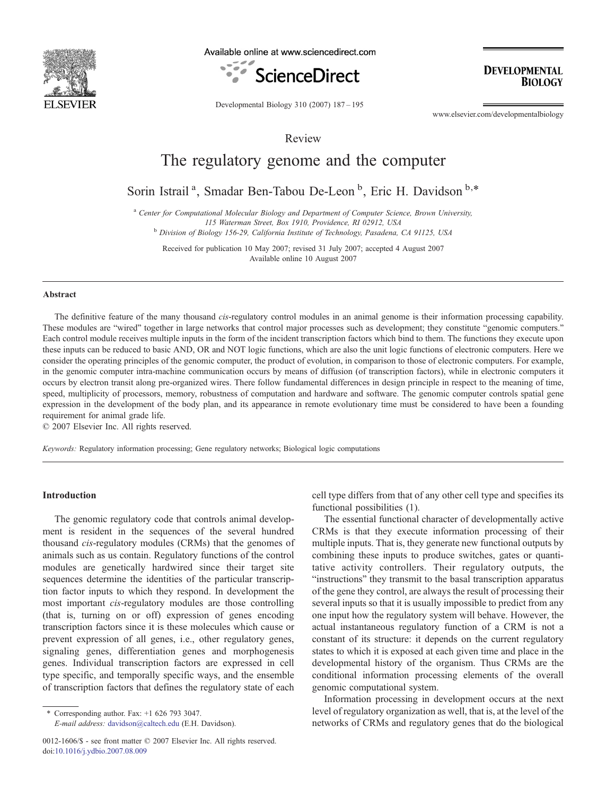

Available online at www.sciencedirect.com



**DEVELOPMENTAL BIOLOGY** 

Developmental Biology 310 (2007) 187–195

www.elsevier.com/developmentalbiology

Review

# The regulatory genome and the computer

Sorin Istrail<sup>a</sup>, Smadar Ben-Tabou De-Leon<sup>b</sup>, Eric H. Davidson<sup>b,\*</sup>

<sup>a</sup> Center for Computational Molecular Biology and Department of Computer Science, Brown University, 115 Waterman Street, Box 1910, Providence, RI 02912, USA

<sup>b</sup> Division of Biology 156-29, California Institute of Technology, Pasadena, CA 91125, USA

Received for publication 10 May 2007; revised 31 July 2007; accepted 4 August 2007 Available online 10 August 2007

#### Abstract

The definitive feature of the many thousand cis-regulatory control modules in an animal genome is their information processing capability. These modules are "wired" together in large networks that control major processes such as development; they constitute "genomic computers." Each control module receives multiple inputs in the form of the incident transcription factors which bind to them. The functions they execute upon these inputs can be reduced to basic AND, OR and NOT logic functions, which are also the unit logic functions of electronic computers. Here we consider the operating principles of the genomic computer, the product of evolution, in comparison to those of electronic computers. For example, in the genomic computer intra-machine communication occurs by means of diffusion (of transcription factors), while in electronic computers it occurs by electron transit along pre-organized wires. There follow fundamental differences in design principle in respect to the meaning of time, speed, multiplicity of processors, memory, robustness of computation and hardware and software. The genomic computer controls spatial gene expression in the development of the body plan, and its appearance in remote evolutionary time must be considered to have been a founding requirement for animal grade life.

© 2007 Elsevier Inc. All rights reserved.

Keywords: Regulatory information processing; Gene regulatory networks; Biological logic computations

### Introduction

The genomic regulatory code that controls animal development is resident in the sequences of the several hundred thousand cis-regulatory modules (CRMs) that the genomes of animals such as us contain. Regulatory functions of the control modules are genetically hardwired since their target site sequences determine the identities of the particular transcription factor inputs to which they respond. In development the most important cis-regulatory modules are those controlling (that is, turning on or off) expression of genes encoding transcription factors since it is these molecules which cause or prevent expression of all genes, i.e., other regulatory genes, signaling genes, differentiation genes and morphogenesis genes. Individual transcription factors are expressed in cell type specific, and temporally specific ways, and the ensemble of transcription factors that defines the regulatory state of each

 $*$  Corresponding author. Fax:  $+1$  626 793 3047. E-mail address: [davidson@caltech.edu](mailto:davidson@caltech.edu) (E.H. Davidson).

0012-1606/\$ - see front matter © 2007 Elsevier Inc. All rights reserved. doi:[10.1016/j.ydbio.2007.08.009](http://dx.doi.org/10.1016/j.ydbio.2007.08.009)

cell type differs from that of any other cell type and specifies its functional possibilities (1).

The essential functional character of developmentally active CRMs is that they execute information processing of their multiple inputs. That is, they generate new functional outputs by combining these inputs to produce switches, gates or quantitative activity controllers. Their regulatory outputs, the "instructions" they transmit to the basal transcription apparatus of the gene they control, are always the result of processing their several inputs so that it is usually impossible to predict from any one input how the regulatory system will behave. However, the actual instantaneous regulatory function of a CRM is not a constant of its structure: it depends on the current regulatory states to which it is exposed at each given time and place in the developmental history of the organism. Thus CRMs are the conditional information processing elements of the overall genomic computational system.

Information processing in development occurs at the next level of regulatory organization as well, that is, at the level of the networks of CRMs and regulatory genes that do the biological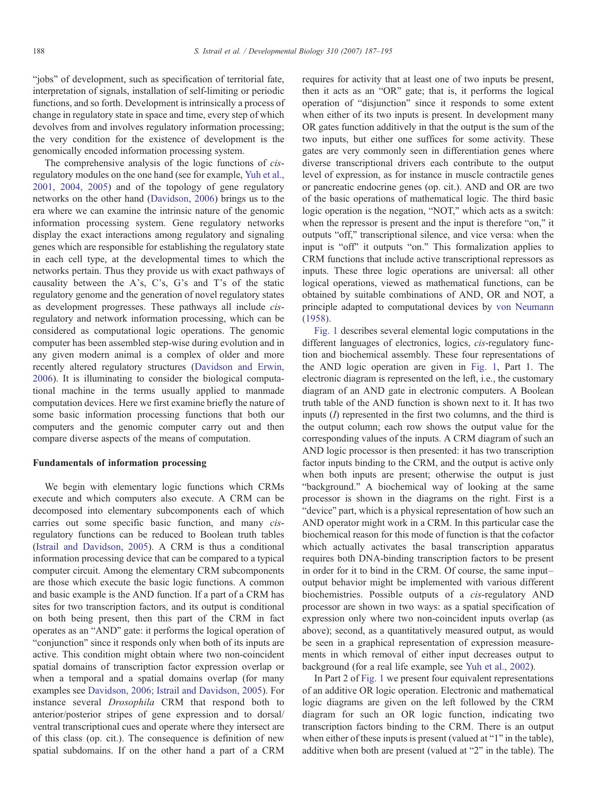"jobs" of development, such as specification of territorial fate, interpretation of signals, installation of self-limiting or periodic functions, and so forth. Development is intrinsically a process of change in regulatory state in space and time, every step of which devolves from and involves regulatory information processing; the very condition for the existence of development is the genomically encoded information processing system.

The comprehensive analysis of the logic functions of cisregulatory modules on the one hand (see for example, [Yuh et al.,](#page-8-0) [2001, 2004, 2005\)](#page-8-0) and of the topology of gene regulatory networks on the other hand [\(Davidson, 2006](#page-8-0)) brings us to the era where we can examine the intrinsic nature of the genomic information processing system. Gene regulatory networks display the exact interactions among regulatory and signaling genes which are responsible for establishing the regulatory state in each cell type, at the developmental times to which the networks pertain. Thus they provide us with exact pathways of causality between the A's, C's, G's and T's of the static regulatory genome and the generation of novel regulatory states as development progresses. These pathways all include cisregulatory and network information processing, which can be considered as computational logic operations. The genomic computer has been assembled step-wise during evolution and in any given modern animal is a complex of older and more recently altered regulatory structures [\(Davidson and Erwin,](#page-8-0) [2006\)](#page-8-0). It is illuminating to consider the biological computational machine in the terms usually applied to manmade computation devices. Here we first examine briefly the nature of some basic information processing functions that both our computers and the genomic computer carry out and then compare diverse aspects of the means of computation.

## Fundamentals of information processing

We begin with elementary logic functions which CRMs execute and which computers also execute. A CRM can be decomposed into elementary subcomponents each of which carries out some specific basic function, and many cisregulatory functions can be reduced to Boolean truth tables ([Istrail and Davidson, 2005\)](#page-8-0). A CRM is thus a conditional information processing device that can be compared to a typical computer circuit. Among the elementary CRM subcomponents are those which execute the basic logic functions. A common and basic example is the AND function. If a part of a CRM has sites for two transcription factors, and its output is conditional on both being present, then this part of the CRM in fact operates as an "AND" gate: it performs the logical operation of "conjunction" since it responds only when both of its inputs are active. This condition might obtain where two non-coincident spatial domains of transcription factor expression overlap or when a temporal and a spatial domains overlap (for many examples see [Davidson, 2006; Istrail and Davidson, 2005\)](#page-8-0). For instance several Drosophila CRM that respond both to anterior/posterior stripes of gene expression and to dorsal/ ventral transcriptional cues and operate where they intersect are of this class (op. cit.). The consequence is definition of new spatial subdomains. If on the other hand a part of a CRM requires for activity that at least one of two inputs be present, then it acts as an "OR" gate; that is, it performs the logical operation of "disjunction" since it responds to some extent when either of its two inputs is present. In development many OR gates function additively in that the output is the sum of the two inputs, but either one suffices for some activity. These gates are very commonly seen in differentiation genes where diverse transcriptional drivers each contribute to the output level of expression, as for instance in muscle contractile genes or pancreatic endocrine genes (op. cit.). AND and OR are two of the basic operations of mathematical logic. The third basic logic operation is the negation, "NOT," which acts as a switch: when the repressor is present and the input is therefore "on," it outputs "off," transcriptional silence, and vice versa: when the input is "off" it outputs "on." This formalization applies to CRM functions that include active transcriptional repressors as inputs. These three logic operations are universal: all other logical operations, viewed as mathematical functions, can be obtained by suitable combinations of AND, OR and NOT, a principle adapted to computational devices by [von Neumann](#page-8-0) [\(1958\)](#page-8-0).

[Fig. 1](#page-2-0) describes several elemental logic computations in the different languages of electronics, logics, cis-regulatory function and biochemical assembly. These four representations of the AND logic operation are given in [Fig. 1](#page-2-0), Part 1. The electronic diagram is represented on the left, i.e., the customary diagram of an AND gate in electronic computers. A Boolean truth table of the AND function is shown next to it. It has two inputs  $(I)$  represented in the first two columns, and the third is the output column; each row shows the output value for the corresponding values of the inputs. A CRM diagram of such an AND logic processor is then presented: it has two transcription factor inputs binding to the CRM, and the output is active only when both inputs are present; otherwise the output is just "background." A biochemical way of looking at the same processor is shown in the diagrams on the right. First is a "device" part, which is a physical representation of how such an AND operator might work in a CRM. In this particular case the biochemical reason for this mode of function is that the cofactor which actually activates the basal transcription apparatus requires both DNA-binding transcription factors to be present in order for it to bind in the CRM. Of course, the same input– output behavior might be implemented with various different biochemistries. Possible outputs of a cis-regulatory AND processor are shown in two ways: as a spatial specification of expression only where two non-coincident inputs overlap (as above); second, as a quantitatively measured output, as would be seen in a graphical representation of expression measurements in which removal of either input decreases output to background (for a real life example, see [Yuh et al., 2002\)](#page-8-0).

In Part 2 of [Fig. 1](#page-2-0) we present four equivalent representations of an additive OR logic operation. Electronic and mathematical logic diagrams are given on the left followed by the CRM diagram for such an OR logic function, indicating two transcription factors binding to the CRM. There is an output when either of these inputs is present (valued at "1" in the table), additive when both are present (valued at "2" in the table). The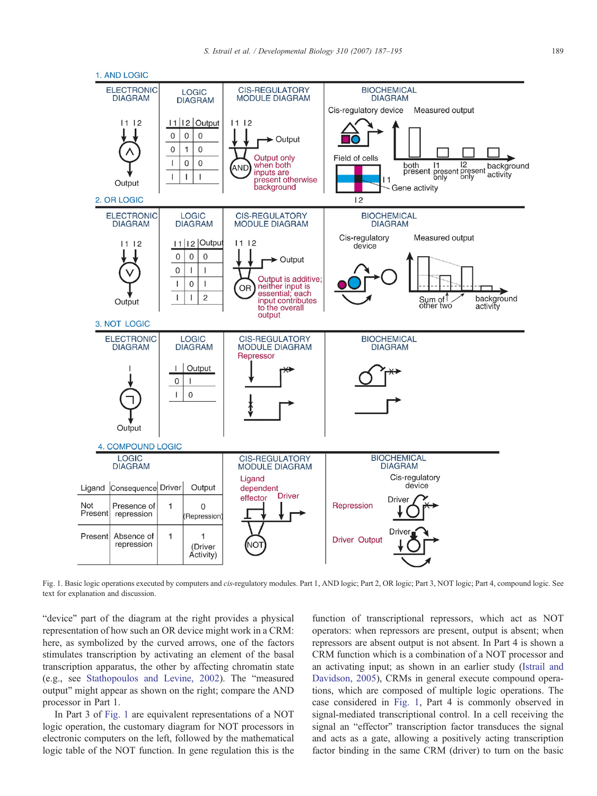<span id="page-2-0"></span>

Fig. 1. Basic logic operations executed by computers and *cis-regulatory modules. Part 1, AND logic*; Part 2, OR logic; Part 3, NOT logic; Part 4, compound logic. See text for explanation and discussion.

"device" part of the diagram at the right provides a physical representation of how such an OR device might work in a CRM: here, as symbolized by the curved arrows, one of the factors stimulates transcription by activating an element of the basal transcription apparatus, the other by affecting chromatin state (e.g., see [Stathopoulos and Levine, 2002](#page-8-0)). The "measured output" might appear as shown on the right; compare the AND processor in Part 1.

In Part 3 of Fig. 1 are equivalent representations of a NOT logic operation, the customary diagram for NOT processors in electronic computers on the left, followed by the mathematical logic table of the NOT function. In gene regulation this is the function of transcriptional repressors, which act as NOT operators: when repressors are present, output is absent; when repressors are absent output is not absent. In Part 4 is shown a CRM function which is a combination of a NOT processor and an activating input; as shown in an earlier study [\(Istrail and](#page-8-0) [Davidson, 2005\)](#page-8-0), CRMs in general execute compound operations, which are composed of multiple logic operations. The case considered in Fig. 1, Part 4 is commonly observed in signal-mediated transcriptional control. In a cell receiving the signal an "effector" transcription factor transduces the signal and acts as a gate, allowing a positively acting transcription factor binding in the same CRM (driver) to turn on the basic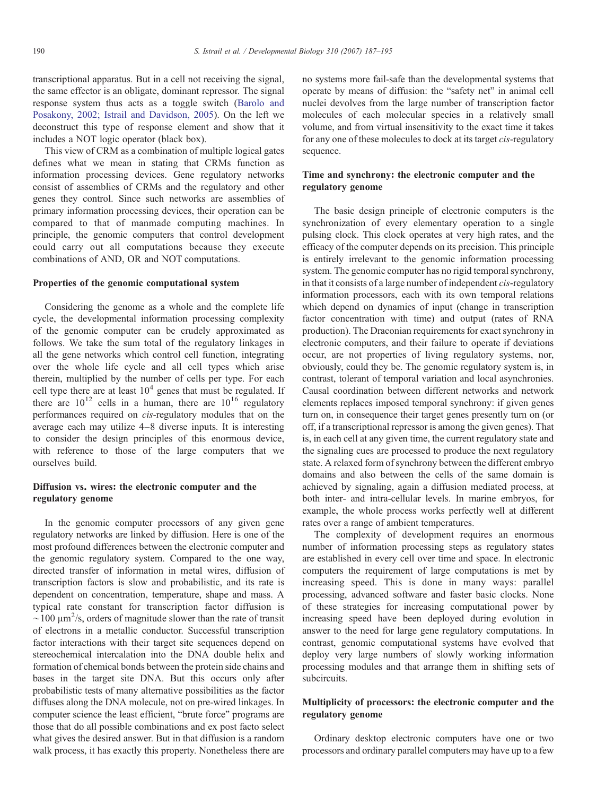transcriptional apparatus. But in a cell not receiving the signal, the same effector is an obligate, dominant repressor. The signal response system thus acts as a toggle switch ([Barolo and](#page-8-0) [Posakony, 2002; Istrail and Davidson, 2005](#page-8-0)). On the left we deconstruct this type of response element and show that it includes a NOT logic operator (black box).

This view of CRM as a combination of multiple logical gates defines what we mean in stating that CRMs function as information processing devices. Gene regulatory networks consist of assemblies of CRMs and the regulatory and other genes they control. Since such networks are assemblies of primary information processing devices, their operation can be compared to that of manmade computing machines. In principle, the genomic computers that control development could carry out all computations because they execute combinations of AND, OR and NOT computations.

#### Properties of the genomic computational system

Considering the genome as a whole and the complete life cycle, the developmental information processing complexity of the genomic computer can be crudely approximated as follows. We take the sum total of the regulatory linkages in all the gene networks which control cell function, integrating over the whole life cycle and all cell types which arise therein, multiplied by the number of cells per type. For each cell type there are at least  $10^4$  genes that must be regulated. If there are  $10^{12}$  cells in a human, there are  $10^{16}$  regulatory performances required on cis-regulatory modules that on the average each may utilize 4–8 diverse inputs. It is interesting to consider the design principles of this enormous device, with reference to those of the large computers that we ourselves build.

## Diffusion vs. wires: the electronic computer and the regulatory genome

In the genomic computer processors of any given gene regulatory networks are linked by diffusion. Here is one of the most profound differences between the electronic computer and the genomic regulatory system. Compared to the one way, directed transfer of information in metal wires, diffusion of transcription factors is slow and probabilistic, and its rate is dependent on concentration, temperature, shape and mass. A typical rate constant for transcription factor diffusion is  $\sim$ 100  $\mu$ m<sup>2</sup>/s, orders of magnitude slower than the rate of transit of electrons in a metallic conductor. Successful transcription factor interactions with their target site sequences depend on stereochemical intercalation into the DNA double helix and formation of chemical bonds between the protein side chains and bases in the target site DNA. But this occurs only after probabilistic tests of many alternative possibilities as the factor diffuses along the DNA molecule, not on pre-wired linkages. In computer science the least efficient, "brute force" programs are those that do all possible combinations and ex post facto select what gives the desired answer. But in that diffusion is a random walk process, it has exactly this property. Nonetheless there are no systems more fail-safe than the developmental systems that operate by means of diffusion: the "safety net" in animal cell nuclei devolves from the large number of transcription factor molecules of each molecular species in a relatively small volume, and from virtual insensitivity to the exact time it takes for any one of these molecules to dock at its target cis-regulatory sequence.

# Time and synchrony: the electronic computer and the regulatory genome

The basic design principle of electronic computers is the synchronization of every elementary operation to a single pulsing clock. This clock operates at very high rates, and the efficacy of the computer depends on its precision. This principle is entirely irrelevant to the genomic information processing system. The genomic computer has no rigid temporal synchrony, in that it consists of a large number of independent cis-regulatory information processors, each with its own temporal relations which depend on dynamics of input (change in transcription factor concentration with time) and output (rates of RNA production). The Draconian requirements for exact synchrony in electronic computers, and their failure to operate if deviations occur, are not properties of living regulatory systems, nor, obviously, could they be. The genomic regulatory system is, in contrast, tolerant of temporal variation and local asynchronies. Causal coordination between different networks and network elements replaces imposed temporal synchrony: if given genes turn on, in consequence their target genes presently turn on (or off, if a transcriptional repressor is among the given genes). That is, in each cell at any given time, the current regulatory state and the signaling cues are processed to produce the next regulatory state. A relaxed form of synchrony between the different embryo domains and also between the cells of the same domain is achieved by signaling, again a diffusion mediated process, at both inter- and intra-cellular levels. In marine embryos, for example, the whole process works perfectly well at different rates over a range of ambient temperatures.

The complexity of development requires an enormous number of information processing steps as regulatory states are established in every cell over time and space. In electronic computers the requirement of large computations is met by increasing speed. This is done in many ways: parallel processing, advanced software and faster basic clocks. None of these strategies for increasing computational power by increasing speed have been deployed during evolution in answer to the need for large gene regulatory computations. In contrast, genomic computational systems have evolved that deploy very large numbers of slowly working information processing modules and that arrange them in shifting sets of subcircuits.

# Multiplicity of processors: the electronic computer and the regulatory genome

Ordinary desktop electronic computers have one or two processors and ordinary parallel computers may have up to a few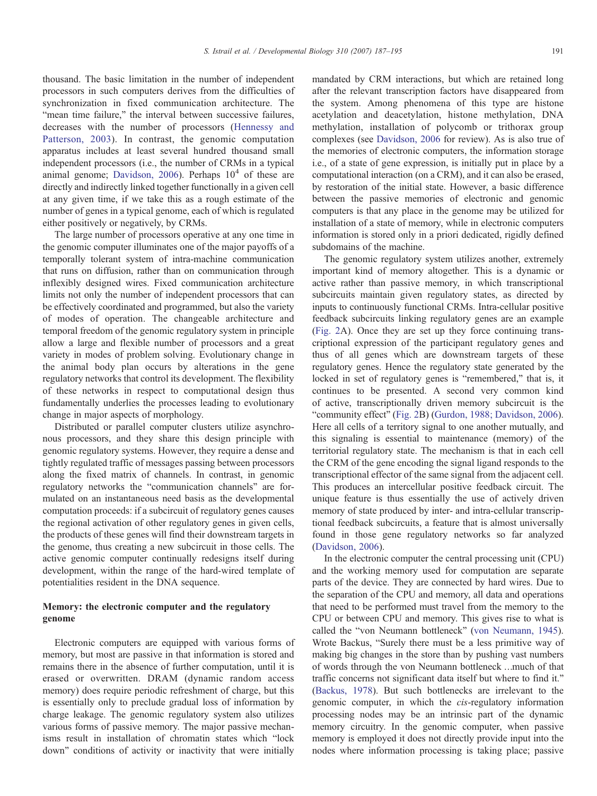thousand. The basic limitation in the number of independent processors in such computers derives from the difficulties of synchronization in fixed communication architecture. The "mean time failure," the interval between successive failures, decreases with the number of processors ([Hennessy and](#page-8-0) [Patterson, 2003](#page-8-0)). In contrast, the genomic computation apparatus includes at least several hundred thousand small independent processors (i.e., the number of CRMs in a typical animal genome; [Davidson, 2006](#page-8-0)). Perhaps  $10<sup>4</sup>$  of these are directly and indirectly linked together functionally in a given cell at any given time, if we take this as a rough estimate of the number of genes in a typical genome, each of which is regulated either positively or negatively, by CRMs.

The large number of processors operative at any one time in the genomic computer illuminates one of the major payoffs of a temporally tolerant system of intra-machine communication that runs on diffusion, rather than on communication through inflexibly designed wires. Fixed communication architecture limits not only the number of independent processors that can be effectively coordinated and programmed, but also the variety of modes of operation. The changeable architecture and temporal freedom of the genomic regulatory system in principle allow a large and flexible number of processors and a great variety in modes of problem solving. Evolutionary change in the animal body plan occurs by alterations in the gene regulatory networks that control its development. The flexibility of these networks in respect to computational design thus fundamentally underlies the processes leading to evolutionary change in major aspects of morphology.

Distributed or parallel computer clusters utilize asynchronous processors, and they share this design principle with genomic regulatory systems. However, they require a dense and tightly regulated traffic of messages passing between processors along the fixed matrix of channels. In contrast, in genomic regulatory networks the "communication channels" are formulated on an instantaneous need basis as the developmental computation proceeds: if a subcircuit of regulatory genes causes the regional activation of other regulatory genes in given cells, the products of these genes will find their downstream targets in the genome, thus creating a new subcircuit in those cells. The active genomic computer continually redesigns itself during development, within the range of the hard-wired template of potentialities resident in the DNA sequence.

## Memory: the electronic computer and the regulatory genome

Electronic computers are equipped with various forms of memory, but most are passive in that information is stored and remains there in the absence of further computation, until it is erased or overwritten. DRAM (dynamic random access memory) does require periodic refreshment of charge, but this is essentially only to preclude gradual loss of information by charge leakage. The genomic regulatory system also utilizes various forms of passive memory. The major passive mechanisms result in installation of chromatin states which "lock down" conditions of activity or inactivity that were initially

mandated by CRM interactions, but which are retained long after the relevant transcription factors have disappeared from the system. Among phenomena of this type are histone acetylation and deacetylation, histone methylation, DNA methylation, installation of polycomb or trithorax group complexes (see [Davidson, 2006](#page-8-0) for review). As is also true of the memories of electronic computers, the information storage i.e., of a state of gene expression, is initially put in place by a computational interaction (on a CRM), and it can also be erased, by restoration of the initial state. However, a basic difference between the passive memories of electronic and genomic computers is that any place in the genome may be utilized for installation of a state of memory, while in electronic computers information is stored only in a priori dedicated, rigidly defined subdomains of the machine.

The genomic regulatory system utilizes another, extremely important kind of memory altogether. This is a dynamic or active rather than passive memory, in which transcriptional subcircuits maintain given regulatory states, as directed by inputs to continuously functional CRMs. Intra-cellular positive feedback subcircuits linking regulatory genes are an example ([Fig. 2A](#page-5-0)). Once they are set up they force continuing transcriptional expression of the participant regulatory genes and thus of all genes which are downstream targets of these regulatory genes. Hence the regulatory state generated by the locked in set of regulatory genes is "remembered," that is, it continues to be presented. A second very common kind of active, transcriptionally driven memory subcircuit is the "community effect" [\(Fig. 2](#page-5-0)B) ([Gurdon, 1988; Davidson, 2006\)](#page-8-0). Here all cells of a territory signal to one another mutually, and this signaling is essential to maintenance (memory) of the territorial regulatory state. The mechanism is that in each cell the CRM of the gene encoding the signal ligand responds to the transcriptional effector of the same signal from the adjacent cell. This produces an intercellular positive feedback circuit. The unique feature is thus essentially the use of actively driven memory of state produced by inter- and intra-cellular transcriptional feedback subcircuits, a feature that is almost universally found in those gene regulatory networks so far analyzed ([Davidson, 2006](#page-8-0)).

In the electronic computer the central processing unit (CPU) and the working memory used for computation are separate parts of the device. They are connected by hard wires. Due to the separation of the CPU and memory, all data and operations that need to be performed must travel from the memory to the CPU or between CPU and memory. This gives rise to what is called the "von Neumann bottleneck" [\(von Neumann, 1945\)](#page-8-0). Wrote Backus, "Surely there must be a less primitive way of making big changes in the store than by pushing vast numbers of words through the von Neumann bottleneck …much of that traffic concerns not significant data itself but where to find it." ([Backus, 1978\)](#page-8-0). But such bottlenecks are irrelevant to the genomic computer, in which the cis-regulatory information processing nodes may be an intrinsic part of the dynamic memory circuitry. In the genomic computer, when passive memory is employed it does not directly provide input into the nodes where information processing is taking place; passive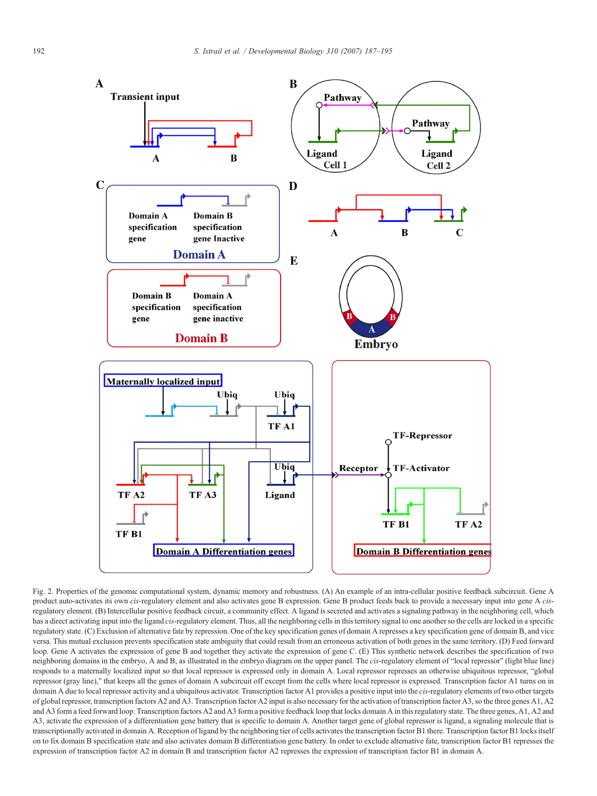<span id="page-5-0"></span>

Fig. 2. Properties of the genomic computational system, dynamic memory and robustness. (A) An example of an intra-cellular positive feedback subcircuit. Gene A product auto-activates its own cis-regulatory element and also activates gene B expression. Gene B product feeds back to provide a necessary input into gene A cisregulatory element. (B) Intercellular positive feedback circuit, a community effect. A ligand is secreted and activates a signaling pathway in the neighboring cell, which has a direct activating input into the ligand cis-regulatory element. Thus, all the neighboring cells in this territory signal to one another so the cells are locked in a specific regulatory state. (C) Exclusion of alternative fate by repression. One of the key specification genes of domain A represses a key specification gene of domain B, and vice versa. This mutual exclusion prevents specification state ambiguity that could result from an erroneous activation of both genes in the same territory. (D) Feed forward loop. Gene A activates the expression of gene B and together they activate the expression of gene C. (E) This synthetic network describes the specification of two neighboring domains in the embryo, A and B, as illustrated in the embryo diagram on the upper panel. The *cis*-regulatory element of "local repressor" (light blue line) responds to a maternally localized input so that local repressor is expressed only in domain A. Local repressor represses an otherwise ubiquitous repressor, "global repressor (gray line)," that keeps all the genes of domain A subcircuit off except from the cells where local repressor is expressed. Transcription factor A1 turns on in domain A due to local repressor activity and a ubiquitous activator. Transcription factor A1 provides a positive input into the *cis*-regulatory elements of two other targets of global repressor, transcription factors A2 and A3. Transcription factor A2 input is also necessary for the activation of transcription factor A3, so the three genes A1, A2 and A3 form a feed forward loop. Transcription factors A2 and A3 form a positive feedback loop that locks domain A in this regulatory state. The three genes, A1, A2 and A3, activate the expression of a differentiation gene battery that is specific to domain A. Another target gene of global repressor is ligand, a signaling molecule that is transcriptionally activated in domain A. Reception of ligand by the neighboring tier of cells activates the transcription factor B1 there. Transcription factor B1 locks itself on to fix domain B specification state and also activates domain B differentiation gene battery. In order to exclude alternative fate, transcription factor B1 represses the expression of transcription factor A2 in domain B and transcription factor A2 represses the expression of transcription factor B1 in domain A.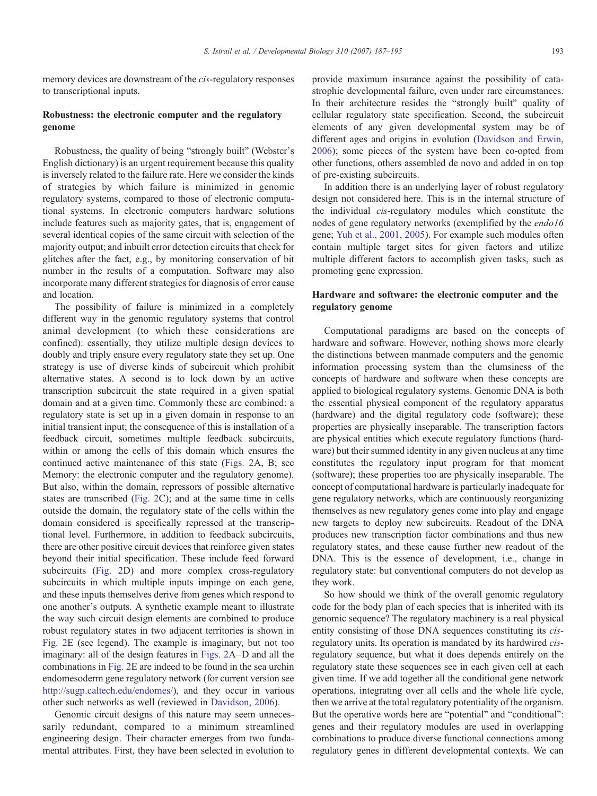memory devices are downstream of the cis-regulatory responses to transcriptional inputs.

# Robustness: the electronic computer and the regulatory genome

Robustness, the quality of being "strongly built" (Webster's English dictionary) is an urgent requirement because this quality is inversely related to the failure rate. Here we consider the kinds of strategies by which failure is minimized in genomic regulatory systems, compared to those of electronic computational systems. In electronic computers hardware solutions include features such as majority gates, that is, engagement of several identical copies of the same circuit with selection of the majority output; and inbuilt error detection circuits that check for glitches after the fact, e.g., by monitoring conservation of bit number in the results of a computation. Software may also incorporate many different strategies for diagnosis of error cause and location.

The possibility of failure is minimized in a completely different way in the genomic regulatory systems that control animal development (to which these considerations are confined): essentially, they utilize multiple design devices to doubly and triply ensure every regulatory state they set up. One strategy is use of diverse kinds of subcircuit which prohibit alternative states. A second is to lock down by an active transcription subcircuit the state required in a given spatial domain and at a given time. Commonly these are combined: a regulatory state is set up in a given domain in response to an initial transient input; the consequence of this is installation of a feedback circuit, sometimes multiple feedback subcircuits, within or among the cells of this domain which ensures the continued active maintenance of this state ([Figs. 2](#page-5-0)A, B; see Memory: the electronic computer and the regulatory genome). But also, within the domain, repressors of possible alternative states are transcribed [\(Fig. 2C](#page-5-0)); and at the same time in cells outside the domain, the regulatory state of the cells within the domain considered is specifically repressed at the transcriptional level. Furthermore, in addition to feedback subcircuits, there are other positive circuit devices that reinforce given states beyond their initial specification. These include feed forward subcircuits ([Fig. 2D](#page-5-0)) and more complex cross-regulatory subcircuits in which multiple inputs impinge on each gene, and these inputs themselves derive from genes which respond to one another's outputs. A synthetic example meant to illustrate the way such circuit design elements are combined to produce robust regulatory states in two adjacent territories is shown in [Fig. 2](#page-5-0)E (see legend). The example is imaginary, but not too imaginary: all of the design features in [Figs. 2](#page-5-0)A–D and all the combinations in [Fig. 2](#page-5-0)E are indeed to be found in the sea urchin endomesoderm gene regulatory network (for current version see [http://sugp.caltech.edu/endomes/\)](http://sugp.caltech.edu/endomes/), and they occur in various other such networks as well (reviewed in [Davidson, 2006\)](#page-8-0).

Genomic circuit designs of this nature may seem unnecessarily redundant, compared to a minimum streamlined engineering design. Their character emerges from two fundamental attributes. First, they have been selected in evolution to provide maximum insurance against the possibility of catastrophic developmental failure, even under rare circumstances. In their architecture resides the "strongly built" quality of cellular regulatory state specification. Second, the subcircuit elements of any given developmental system may be of different ages and origins in evolution ([Davidson and Erwin,](#page-8-0) [2006](#page-8-0)); some pieces of the system have been co-opted from other functions, others assembled de novo and added in on top of pre-existing subcircuits.

In addition there is an underlying layer of robust regulatory design not considered here. This is in the internal structure of the individual cis-regulatory modules which constitute the nodes of gene regulatory networks (exemplified by the endo16 gene; [Yuh et al., 2001, 2005](#page-8-0)). For example such modules often contain multiple target sites for given factors and utilize multiple different factors to accomplish given tasks, such as promoting gene expression.

# Hardware and software: the electronic computer and the regulatory genome

Computational paradigms are based on the concepts of hardware and software. However, nothing shows more clearly the distinctions between manmade computers and the genomic information processing system than the clumsiness of the concepts of hardware and software when these concepts are applied to biological regulatory systems. Genomic DNA is both the essential physical component of the regulatory apparatus (hardware) and the digital regulatory code (software); these properties are physically inseparable. The transcription factors are physical entities which execute regulatory functions (hardware) but their summed identity in any given nucleus at any time constitutes the regulatory input program for that moment (software); these properties too are physically inseparable. The concept of computational hardware is particularly inadequate for gene regulatory networks, which are continuously reorganizing themselves as new regulatory genes come into play and engage new targets to deploy new subcircuits. Readout of the DNA produces new transcription factor combinations and thus new regulatory states, and these cause further new readout of the DNA. This is the essence of development, i.e., change in regulatory state: but conventional computers do not develop as they work.

So how should we think of the overall genomic regulatory code for the body plan of each species that is inherited with its genomic sequence? The regulatory machinery is a real physical entity consisting of those DNA sequences constituting its cisregulatory units. Its operation is mandated by its hardwired cisregulatory sequence, but what it does depends entirely on the regulatory state these sequences see in each given cell at each given time. If we add together all the conditional gene network operations, integrating over all cells and the whole life cycle, then we arrive at the total regulatory potentiality of the organism. But the operative words here are "potential" and "conditional": genes and their regulatory modules are used in overlapping combinations to produce diverse functional connections among regulatory genes in different developmental contexts. We can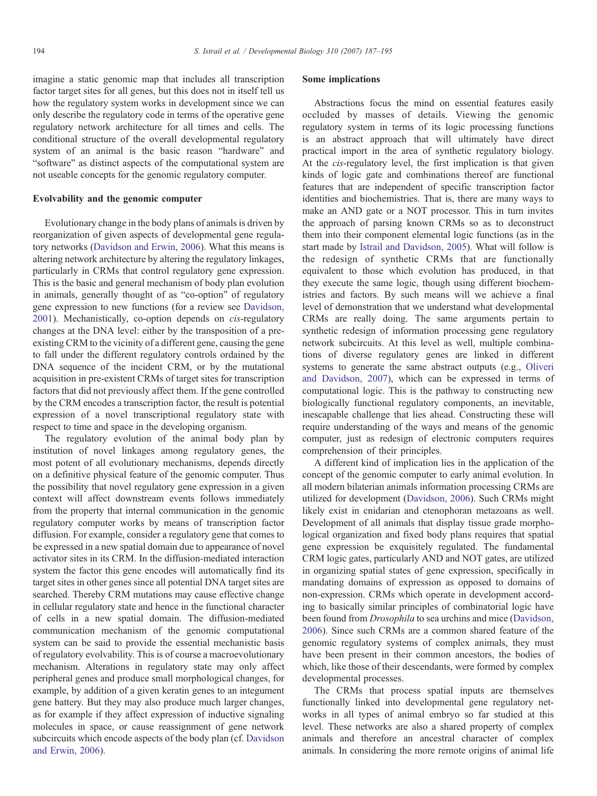imagine a static genomic map that includes all transcription factor target sites for all genes, but this does not in itself tell us how the regulatory system works in development since we can only describe the regulatory code in terms of the operative gene regulatory network architecture for all times and cells. The conditional structure of the overall developmental regulatory system of an animal is the basic reason "hardware" and "software" as distinct aspects of the computational system are not useable concepts for the genomic regulatory computer.

## Evolvability and the genomic computer

Evolutionary change in the body plans of animals is driven by reorganization of given aspects of developmental gene regulatory networks [\(Davidson and Erwin, 2006](#page-8-0)). What this means is altering network architecture by altering the regulatory linkages, particularly in CRMs that control regulatory gene expression. This is the basic and general mechanism of body plan evolution in animals, generally thought of as "co-option" of regulatory gene expression to new functions (for a review see [Davidson,](#page-8-0) [2001\)](#page-8-0). Mechanistically, co-option depends on cis-regulatory changes at the DNA level: either by the transposition of a preexisting CRM to the vicinity of a different gene, causing the gene to fall under the different regulatory controls ordained by the DNA sequence of the incident CRM, or by the mutational acquisition in pre-existent CRMs of target sites for transcription factors that did not previously affect them. If the gene controlled by the CRM encodes a transcription factor, the result is potential expression of a novel transcriptional regulatory state with respect to time and space in the developing organism.

The regulatory evolution of the animal body plan by institution of novel linkages among regulatory genes, the most potent of all evolutionary mechanisms, depends directly on a definitive physical feature of the genomic computer. Thus the possibility that novel regulatory gene expression in a given context will affect downstream events follows immediately from the property that internal communication in the genomic regulatory computer works by means of transcription factor diffusion. For example, consider a regulatory gene that comes to be expressed in a new spatial domain due to appearance of novel activator sites in its CRM. In the diffusion-mediated interaction system the factor this gene encodes will automatically find its target sites in other genes since all potential DNA target sites are searched. Thereby CRM mutations may cause effective change in cellular regulatory state and hence in the functional character of cells in a new spatial domain. The diffusion-mediated communication mechanism of the genomic computational system can be said to provide the essential mechanistic basis of regulatory evolvability. This is of course a macroevolutionary mechanism. Alterations in regulatory state may only affect peripheral genes and produce small morphological changes, for example, by addition of a given keratin genes to an integument gene battery. But they may also produce much larger changes, as for example if they affect expression of inductive signaling molecules in space, or cause reassignment of gene network subcircuits which encode aspects of the body plan (cf. [Davidson](#page-8-0) [and Erwin, 2006\)](#page-8-0).

## Some implications

Abstractions focus the mind on essential features easily occluded by masses of details. Viewing the genomic regulatory system in terms of its logic processing functions is an abstract approach that will ultimately have direct practical import in the area of synthetic regulatory biology. At the cis-regulatory level, the first implication is that given kinds of logic gate and combinations thereof are functional features that are independent of specific transcription factor identities and biochemistries. That is, there are many ways to make an AND gate or a NOT processor. This in turn invites the approach of parsing known CRMs so as to deconstruct them into their component elemental logic functions (as in the start made by [Istrail and Davidson, 2005\)](#page-8-0). What will follow is the redesign of synthetic CRMs that are functionally equivalent to those which evolution has produced, in that they execute the same logic, though using different biochemistries and factors. By such means will we achieve a final level of demonstration that we understand what developmental CRMs are really doing. The same arguments pertain to synthetic redesign of information processing gene regulatory network subcircuits. At this level as well, multiple combinations of diverse regulatory genes are linked in different systems to generate the same abstract outputs (e.g., [Oliveri](#page-8-0) [and Davidson, 2007\)](#page-8-0), which can be expressed in terms of computational logic. This is the pathway to constructing new biologically functional regulatory components, an inevitable, inescapable challenge that lies ahead. Constructing these will require understanding of the ways and means of the genomic computer, just as redesign of electronic computers requires comprehension of their principles.

A different kind of implication lies in the application of the concept of the genomic computer to early animal evolution. In all modern bilaterian animals information processing CRMs are utilized for development ([Davidson, 2006](#page-8-0)). Such CRMs might likely exist in cnidarian and ctenophoran metazoans as well. Development of all animals that display tissue grade morphological organization and fixed body plans requires that spatial gene expression be exquisitely regulated. The fundamental CRM logic gates, particularly AND and NOT gates, are utilized in organizing spatial states of gene expression, specifically in mandating domains of expression as opposed to domains of non-expression. CRMs which operate in development according to basically similar principles of combinatorial logic have been found from *Drosophila* to sea urchins and mice [\(Davidson,](#page-8-0) [2006\)](#page-8-0). Since such CRMs are a common shared feature of the genomic regulatory systems of complex animals, they must have been present in their common ancestors, the bodies of which, like those of their descendants, were formed by complex developmental processes.

The CRMs that process spatial inputs are themselves functionally linked into developmental gene regulatory networks in all types of animal embryo so far studied at this level. These networks are also a shared property of complex animals and therefore an ancestral character of complex animals. In considering the more remote origins of animal life